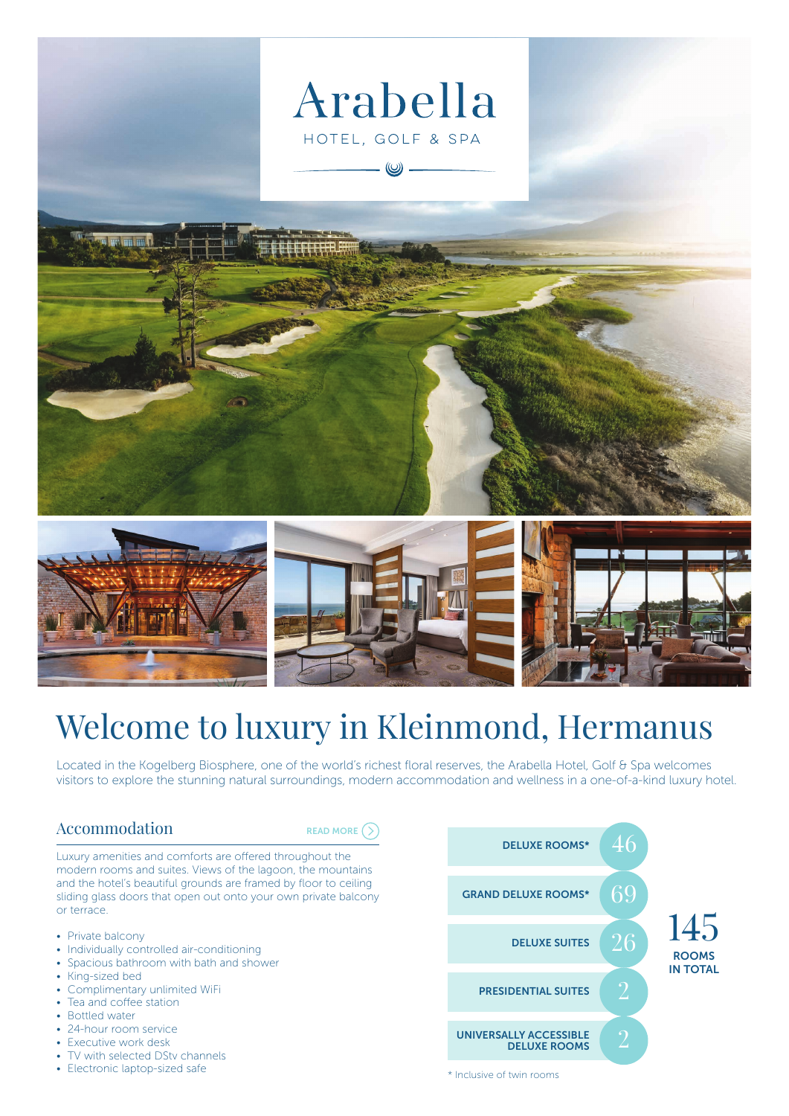

# Welcome to luxury in Kleinmond, Hermanus

Located in the Kogelberg Biosphere, one of the world's richest floral reserves, the Arabella Hotel, Golf & Spa welcomes visitors to explore the stunning natural surroundings, modern accommodation and wellness in a one-of-a-kind luxury hotel.

## Accommodation

[READ MORE](https://www.southernsun.com/arabella-hotel-golf-and-spa/accommodation)  $\bigcirc$ 

Luxury amenities and comforts are offered throughout the modern rooms and suites. Views of the lagoon, the mountains and the hotel's beautiful grounds are framed by floor to ceiling sliding glass doors that open out onto your own private balcony or terrace.

- Private balcony
- Individually controlled air-conditioning
- Spacious bathroom with bath and shower
- King-sized bed • Complimentary unlimited WiFi
- Tea and coffee station
- Bottled water
- 24-hour room service
- Executive work desk
- TV with selected DStv channels
- Electronic laptop-sized safe



\* Inclusive of twin rooms